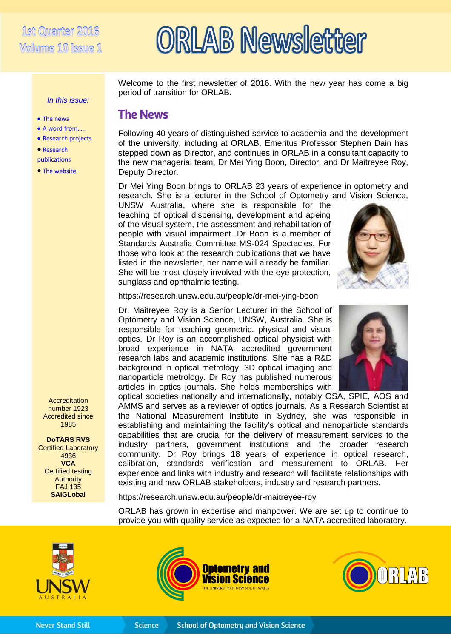# 1st Quarter 2016 Wolwme 10 Issue 1

*In this issue:*

 The news A word from….. • Research projects

 Research publications • The website

# **RLAB Newsletter**

Welcome to the first newsletter of 2016. With the new year has come a big period of transition for ORLAB.

## **The News**

Following 40 years of distinguished service to academia and the development of the university, including at ORLAB, Emeritus Professor Stephen Dain has stepped down as Director, and continues in ORLAB in a consultant capacity to the new managerial team, Dr Mei Ying Boon, Director, and Dr Maitreyee Roy, Deputy Director.

Dr Mei Ying Boon brings to ORLAB 23 years of experience in optometry and research. She is a lecturer in the School of Optometry and Vision Science,

UNSW Australia, where she is responsible for the teaching of optical dispensing, development and ageing of the visual system, the assessment and rehabilitation of people with visual impairment. Dr Boon is a member of Standards Australia Committee MS-024 Spectacles. For those who look at the research publications that we have listed in the newsletter, her name will already be familiar. She will be most closely involved with the eye protection, sunglass and ophthalmic testing.



#### https://research.unsw.edu.au/people/dr-mei-ying-boon

Dr. Maitreyee Roy is a Senior Lecturer in the School of Optometry and Vision Science, UNSW, Australia. She is responsible for teaching geometric, physical and visual optics. Dr Roy is an accomplished optical physicist with broad experience in NATA accredited government research labs and academic institutions. She has a R&D background in optical metrology, 3D optical imaging and nanoparticle metrology. Dr Roy has published numerous articles in optics journals. She holds memberships with



optical societies nationally and internationally, notably OSA, SPIE, AOS and AMMS and serves as a reviewer of optics journals. As a Research Scientist at the National Measurement Institute in Sydney, she was responsible in establishing and maintaining the facility's optical and nanoparticle standards capabilities that are crucial for the delivery of measurement services to the industry partners, government institutions and the broader research community. Dr Roy brings 18 years of experience in optical research, calibration, standards verification and measurement to ORLAB. Her experience and links with industry and research will facilitate relationships with existing and new ORLAB stakeholders, industry and research partners.

https://research.unsw.edu.au/people/dr-maitreyee-roy

ORLAB has grown in expertise and manpower. We are set up to continue to provide you with quality service as expected for a NATA accredited laboratory.





**Science** 



**Accreditation** number 1923 Accredited since 1985 **DoTARS RVS**

Certified Laboratory 4936 **VCA** Certified testing Authority FAJ 135 **SAIGLobal**